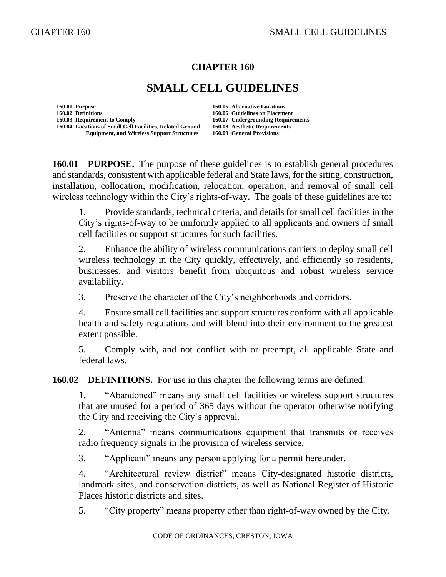### **CHAPTER 160**

# **SMALL CELL GUIDELINES**

**160.01 Purpose 160.05 Alternative Locations 160.02 Definitions 160.06 Guidelines on Placement 160.04 Locations of Small Cell Facilities, Related Ground 160.08 Aesthetic Requirements Equipment, and Wireless Support Structures** 

**160.03 Requirement to Comply 160.07 Undergrounding Requirements**

**160.01 PURPOSE.** The purpose of these guidelines is to establish general procedures and standards, consistent with applicable federal and State laws, for the siting, construction, installation, collocation, modification, relocation, operation, and removal of small cell wireless technology within the City's rights-of-way. The goals of these guidelines are to:

1. Provide standards, technical criteria, and details for small cell facilities in the City's rights-of-way to be uniformly applied to all applicants and owners of small cell facilities or support structures for such facilities.

2. Enhance the ability of wireless communications carriers to deploy small cell wireless technology in the City quickly, effectively, and efficiently so residents, businesses, and visitors benefit from ubiquitous and robust wireless service availability.

3. Preserve the character of the City's neighborhoods and corridors.

4. Ensure small cell facilities and support structures conform with all applicable health and safety regulations and will blend into their environment to the greatest extent possible.

5. Comply with, and not conflict with or preempt, all applicable State and federal laws.

**160.02 DEFINITIONS.** For use in this chapter the following terms are defined:

1. "Abandoned" means any small cell facilities or wireless support structures that are unused for a period of 365 days without the operator otherwise notifying the City and receiving the City's approval.

2. "Antenna" means communications equipment that transmits or receives radio frequency signals in the provision of wireless service.

3. "Applicant" means any person applying for a permit hereunder.

4. "Architectural review district" means City-designated historic districts, landmark sites, and conservation districts, as well as National Register of Historic Places historic districts and sites.

5. "City property" means property other than right-of-way owned by the City.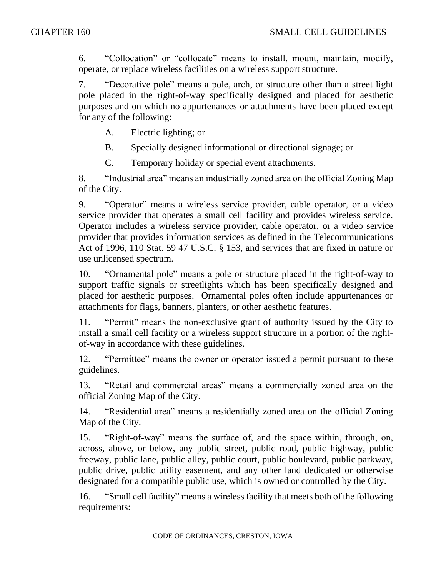6. "Collocation" or "collocate" means to install, mount, maintain, modify, operate, or replace wireless facilities on a wireless support structure.

7. "Decorative pole" means a pole, arch, or structure other than a street light pole placed in the right-of-way specifically designed and placed for aesthetic purposes and on which no appurtenances or attachments have been placed except for any of the following:

A. Electric lighting; or

B. Specially designed informational or directional signage; or

C. Temporary holiday or special event attachments.

8. "Industrial area" means an industrially zoned area on the official Zoning Map of the City.

9. "Operator" means a wireless service provider, cable operator, or a video service provider that operates a small cell facility and provides wireless service. Operator includes a wireless service provider, cable operator, or a video service provider that provides information services as defined in the Telecommunications Act of 1996, 110 Stat. 59 47 U.S.C. § 153, and services that are fixed in nature or use unlicensed spectrum.

10. "Ornamental pole" means a pole or structure placed in the right-of-way to support traffic signals or streetlights which has been specifically designed and placed for aesthetic purposes. Ornamental poles often include appurtenances or attachments for flags, banners, planters, or other aesthetic features.

11. "Permit" means the non-exclusive grant of authority issued by the City to install a small cell facility or a wireless support structure in a portion of the rightof-way in accordance with these guidelines.

12. "Permittee" means the owner or operator issued a permit pursuant to these guidelines.

13. "Retail and commercial areas" means a commercially zoned area on the official Zoning Map of the City.

14. "Residential area" means a residentially zoned area on the official Zoning Map of the City.

15. "Right-of-way" means the surface of, and the space within, through, on, across, above, or below, any public street, public road, public highway, public freeway, public lane, public alley, public court, public boulevard, public parkway, public drive, public utility easement, and any other land dedicated or otherwise designated for a compatible public use, which is owned or controlled by the City.

16. "Small cell facility" means a wireless facility that meets both of the following requirements: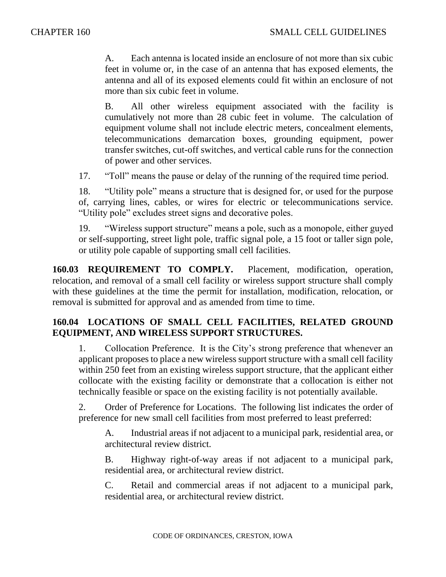A. Each antenna is located inside an enclosure of not more than six cubic feet in volume or, in the case of an antenna that has exposed elements, the antenna and all of its exposed elements could fit within an enclosure of not more than six cubic feet in volume.

B. All other wireless equipment associated with the facility is cumulatively not more than 28 cubic feet in volume. The calculation of equipment volume shall not include electric meters, concealment elements, telecommunications demarcation boxes, grounding equipment, power transfer switches, cut-off switches, and vertical cable runs for the connection of power and other services.

17. "Toll" means the pause or delay of the running of the required time period.

18. "Utility pole" means a structure that is designed for, or used for the purpose of, carrying lines, cables, or wires for electric or telecommunications service. "Utility pole" excludes street signs and decorative poles.

19. "Wireless support structure" means a pole, such as a monopole, either guyed or self-supporting, street light pole, traffic signal pole, a 15 foot or taller sign pole, or utility pole capable of supporting small cell facilities.

**160.03 REQUIREMENT TO COMPLY.** Placement, modification, operation, relocation, and removal of a small cell facility or wireless support structure shall comply with these guidelines at the time the permit for installation, modification, relocation, or removal is submitted for approval and as amended from time to time.

### **160.04 LOCATIONS OF SMALL CELL FACILITIES, RELATED GROUND EQUIPMENT, AND WIRELESS SUPPORT STRUCTURES.**

1. Collocation Preference. It is the City's strong preference that whenever an applicant proposes to place a new wireless support structure with a small cell facility within 250 feet from an existing wireless support structure, that the applicant either collocate with the existing facility or demonstrate that a collocation is either not technically feasible or space on the existing facility is not potentially available.

2. Order of Preference for Locations. The following list indicates the order of preference for new small cell facilities from most preferred to least preferred:

A. Industrial areas if not adjacent to a municipal park, residential area, or architectural review district.

B. Highway right-of-way areas if not adjacent to a municipal park, residential area, or architectural review district.

C. Retail and commercial areas if not adjacent to a municipal park, residential area, or architectural review district.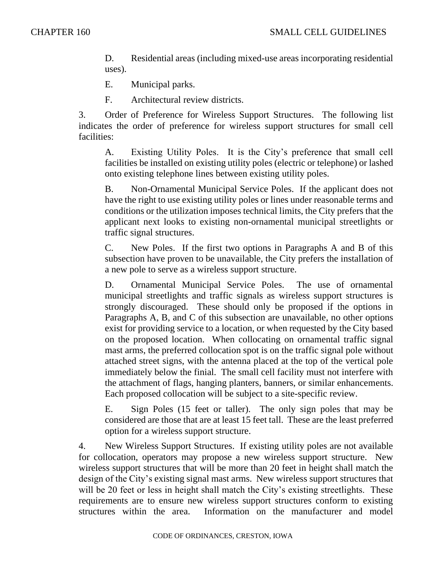D. Residential areas (including mixed-use areas incorporating residential uses).

- E. Municipal parks.
- F. Architectural review districts.

3. Order of Preference for Wireless Support Structures. The following list indicates the order of preference for wireless support structures for small cell facilities:

A. Existing Utility Poles. It is the City's preference that small cell facilities be installed on existing utility poles (electric or telephone) or lashed onto existing telephone lines between existing utility poles.

B. Non-Ornamental Municipal Service Poles. If the applicant does not have the right to use existing utility poles or lines under reasonable terms and conditions or the utilization imposes technical limits, the City prefers that the applicant next looks to existing non-ornamental municipal streetlights or traffic signal structures.

C. New Poles. If the first two options in Paragraphs A and B of this subsection have proven to be unavailable, the City prefers the installation of a new pole to serve as a wireless support structure.

D. Ornamental Municipal Service Poles. The use of ornamental municipal streetlights and traffic signals as wireless support structures is strongly discouraged. These should only be proposed if the options in Paragraphs A, B, and C of this subsection are unavailable, no other options exist for providing service to a location, or when requested by the City based on the proposed location. When collocating on ornamental traffic signal mast arms, the preferred collocation spot is on the traffic signal pole without attached street signs, with the antenna placed at the top of the vertical pole immediately below the finial. The small cell facility must not interfere with the attachment of flags, hanging planters, banners, or similar enhancements. Each proposed collocation will be subject to a site-specific review.

E. Sign Poles (15 feet or taller). The only sign poles that may be considered are those that are at least 15 feet tall. These are the least preferred option for a wireless support structure.

4. New Wireless Support Structures. If existing utility poles are not available for collocation, operators may propose a new wireless support structure. New wireless support structures that will be more than 20 feet in height shall match the design of the City's existing signal mast arms. New wireless support structures that will be 20 feet or less in height shall match the City's existing streetlights. These requirements are to ensure new wireless support structures conform to existing structures within the area. Information on the manufacturer and model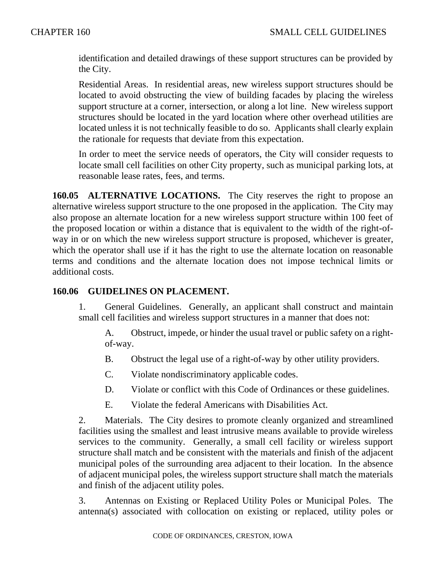identification and detailed drawings of these support structures can be provided by the City.

Residential Areas. In residential areas, new wireless support structures should be located to avoid obstructing the view of building facades by placing the wireless support structure at a corner, intersection, or along a lot line. New wireless support structures should be located in the yard location where other overhead utilities are located unless it is not technically feasible to do so. Applicants shall clearly explain the rationale for requests that deviate from this expectation.

In order to meet the service needs of operators, the City will consider requests to locate small cell facilities on other City property, such as municipal parking lots, at reasonable lease rates, fees, and terms.

**160.05 ALTERNATIVE LOCATIONS.** The City reserves the right to propose an alternative wireless support structure to the one proposed in the application. The City may also propose an alternate location for a new wireless support structure within 100 feet of the proposed location or within a distance that is equivalent to the width of the right-ofway in or on which the new wireless support structure is proposed, whichever is greater, which the operator shall use if it has the right to use the alternate location on reasonable terms and conditions and the alternate location does not impose technical limits or additional costs.

### **160.06 GUIDELINES ON PLACEMENT.**

1. General Guidelines. Generally, an applicant shall construct and maintain small cell facilities and wireless support structures in a manner that does not:

A. Obstruct, impede, or hinder the usual travel or public safety on a rightof-way.

- B. Obstruct the legal use of a right-of-way by other utility providers.
- C. Violate nondiscriminatory applicable codes.
- D. Violate or conflict with this Code of Ordinances or these guidelines.
- E. Violate the federal Americans with Disabilities Act.

2. Materials. The City desires to promote cleanly organized and streamlined facilities using the smallest and least intrusive means available to provide wireless services to the community. Generally, a small cell facility or wireless support structure shall match and be consistent with the materials and finish of the adjacent municipal poles of the surrounding area adjacent to their location. In the absence of adjacent municipal poles, the wireless support structure shall match the materials and finish of the adjacent utility poles.

3. Antennas on Existing or Replaced Utility Poles or Municipal Poles. The antenna(s) associated with collocation on existing or replaced, utility poles or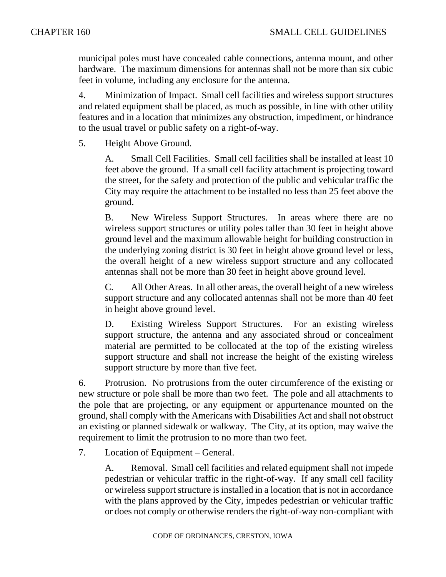municipal poles must have concealed cable connections, antenna mount, and other hardware. The maximum dimensions for antennas shall not be more than six cubic feet in volume, including any enclosure for the antenna.

4. Minimization of Impact. Small cell facilities and wireless support structures and related equipment shall be placed, as much as possible, in line with other utility features and in a location that minimizes any obstruction, impediment, or hindrance to the usual travel or public safety on a right-of-way.

5. Height Above Ground.

A. Small Cell Facilities. Small cell facilities shall be installed at least 10 feet above the ground. If a small cell facility attachment is projecting toward the street, for the safety and protection of the public and vehicular traffic the City may require the attachment to be installed no less than 25 feet above the ground.

B. New Wireless Support Structures. In areas where there are no wireless support structures or utility poles taller than 30 feet in height above ground level and the maximum allowable height for building construction in the underlying zoning district is 30 feet in height above ground level or less, the overall height of a new wireless support structure and any collocated antennas shall not be more than 30 feet in height above ground level.

C. All Other Areas. In all other areas, the overall height of a new wireless support structure and any collocated antennas shall not be more than 40 feet in height above ground level.

D. Existing Wireless Support Structures. For an existing wireless support structure, the antenna and any associated shroud or concealment material are permitted to be collocated at the top of the existing wireless support structure and shall not increase the height of the existing wireless support structure by more than five feet.

6. Protrusion. No protrusions from the outer circumference of the existing or new structure or pole shall be more than two feet. The pole and all attachments to the pole that are projecting, or any equipment or appurtenance mounted on the ground, shall comply with the Americans with Disabilities Act and shall not obstruct an existing or planned sidewalk or walkway. The City, at its option, may waive the requirement to limit the protrusion to no more than two feet.

7. Location of Equipment – General.

A. Removal. Small cell facilities and related equipment shall not impede pedestrian or vehicular traffic in the right-of-way. If any small cell facility or wireless support structure is installed in a location that is not in accordance with the plans approved by the City, impedes pedestrian or vehicular traffic or does not comply or otherwise renders the right-of-way non-compliant with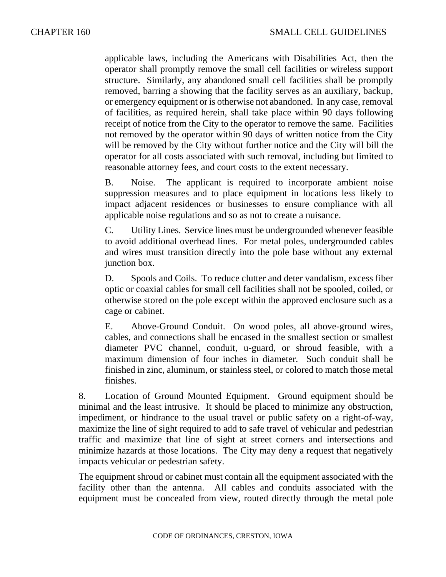applicable laws, including the Americans with Disabilities Act, then the operator shall promptly remove the small cell facilities or wireless support structure. Similarly, any abandoned small cell facilities shall be promptly removed, barring a showing that the facility serves as an auxiliary, backup, or emergency equipment or is otherwise not abandoned. In any case, removal of facilities, as required herein, shall take place within 90 days following receipt of notice from the City to the operator to remove the same. Facilities not removed by the operator within 90 days of written notice from the City will be removed by the City without further notice and the City will bill the operator for all costs associated with such removal, including but limited to reasonable attorney fees, and court costs to the extent necessary.

B. Noise. The applicant is required to incorporate ambient noise suppression measures and to place equipment in locations less likely to impact adjacent residences or businesses to ensure compliance with all applicable noise regulations and so as not to create a nuisance.

C. Utility Lines. Service lines must be undergrounded whenever feasible to avoid additional overhead lines. For metal poles, undergrounded cables and wires must transition directly into the pole base without any external junction box.

D. Spools and Coils. To reduce clutter and deter vandalism, excess fiber optic or coaxial cables for small cell facilities shall not be spooled, coiled, or otherwise stored on the pole except within the approved enclosure such as a cage or cabinet.

E. Above-Ground Conduit. On wood poles, all above-ground wires, cables, and connections shall be encased in the smallest section or smallest diameter PVC channel, conduit, u-guard, or shroud feasible, with a maximum dimension of four inches in diameter. Such conduit shall be finished in zinc, aluminum, or stainless steel, or colored to match those metal finishes.

8. Location of Ground Mounted Equipment. Ground equipment should be minimal and the least intrusive. It should be placed to minimize any obstruction, impediment, or hindrance to the usual travel or public safety on a right-of-way, maximize the line of sight required to add to safe travel of vehicular and pedestrian traffic and maximize that line of sight at street corners and intersections and minimize hazards at those locations. The City may deny a request that negatively impacts vehicular or pedestrian safety.

The equipment shroud or cabinet must contain all the equipment associated with the facility other than the antenna. All cables and conduits associated with the equipment must be concealed from view, routed directly through the metal pole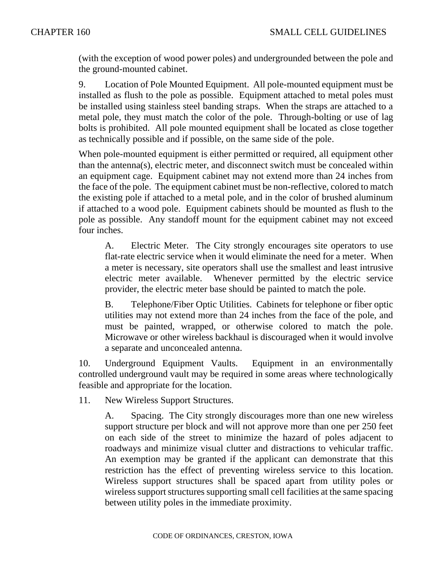(with the exception of wood power poles) and undergrounded between the pole and the ground-mounted cabinet.

9. Location of Pole Mounted Equipment. All pole-mounted equipment must be installed as flush to the pole as possible. Equipment attached to metal poles must be installed using stainless steel banding straps. When the straps are attached to a metal pole, they must match the color of the pole. Through-bolting or use of lag bolts is prohibited. All pole mounted equipment shall be located as close together as technically possible and if possible, on the same side of the pole.

When pole-mounted equipment is either permitted or required, all equipment other than the antenna(s), electric meter, and disconnect switch must be concealed within an equipment cage. Equipment cabinet may not extend more than 24 inches from the face of the pole. The equipment cabinet must be non-reflective, colored to match the existing pole if attached to a metal pole, and in the color of brushed aluminum if attached to a wood pole. Equipment cabinets should be mounted as flush to the pole as possible. Any standoff mount for the equipment cabinet may not exceed four inches.

A. Electric Meter. The City strongly encourages site operators to use flat-rate electric service when it would eliminate the need for a meter. When a meter is necessary, site operators shall use the smallest and least intrusive electric meter available. Whenever permitted by the electric service provider, the electric meter base should be painted to match the pole.

B. Telephone/Fiber Optic Utilities. Cabinets for telephone or fiber optic utilities may not extend more than 24 inches from the face of the pole, and must be painted, wrapped, or otherwise colored to match the pole. Microwave or other wireless backhaul is discouraged when it would involve a separate and unconcealed antenna.

10. Underground Equipment Vaults. Equipment in an environmentally controlled underground vault may be required in some areas where technologically feasible and appropriate for the location.

11. New Wireless Support Structures.

A. Spacing. The City strongly discourages more than one new wireless support structure per block and will not approve more than one per 250 feet on each side of the street to minimize the hazard of poles adjacent to roadways and minimize visual clutter and distractions to vehicular traffic. An exemption may be granted if the applicant can demonstrate that this restriction has the effect of preventing wireless service to this location. Wireless support structures shall be spaced apart from utility poles or wireless support structures supporting small cell facilities at the same spacing between utility poles in the immediate proximity.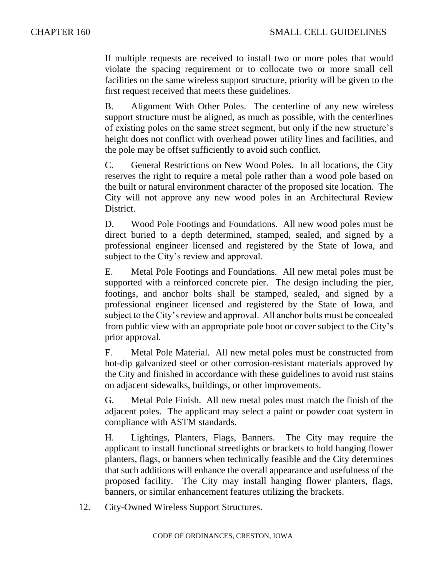If multiple requests are received to install two or more poles that would violate the spacing requirement or to collocate two or more small cell facilities on the same wireless support structure, priority will be given to the first request received that meets these guidelines.

B. Alignment With Other Poles. The centerline of any new wireless support structure must be aligned, as much as possible, with the centerlines of existing poles on the same street segment, but only if the new structure's height does not conflict with overhead power utility lines and facilities, and the pole may be offset sufficiently to avoid such conflict.

C. General Restrictions on New Wood Poles. In all locations, the City reserves the right to require a metal pole rather than a wood pole based on the built or natural environment character of the proposed site location. The City will not approve any new wood poles in an Architectural Review District.

D. Wood Pole Footings and Foundations. All new wood poles must be direct buried to a depth determined, stamped, sealed, and signed by a professional engineer licensed and registered by the State of Iowa, and subject to the City's review and approval.

E. Metal Pole Footings and Foundations. All new metal poles must be supported with a reinforced concrete pier. The design including the pier, footings, and anchor bolts shall be stamped, sealed, and signed by a professional engineer licensed and registered by the State of Iowa, and subject to the City's review and approval. All anchor bolts must be concealed from public view with an appropriate pole boot or cover subject to the City's prior approval.

F. Metal Pole Material. All new metal poles must be constructed from hot-dip galvanized steel or other corrosion-resistant materials approved by the City and finished in accordance with these guidelines to avoid rust stains on adjacent sidewalks, buildings, or other improvements.

G. Metal Pole Finish. All new metal poles must match the finish of the adjacent poles. The applicant may select a paint or powder coat system in compliance with ASTM standards.

H. Lightings, Planters, Flags, Banners. The City may require the applicant to install functional streetlights or brackets to hold hanging flower planters, flags, or banners when technically feasible and the City determines that such additions will enhance the overall appearance and usefulness of the proposed facility. The City may install hanging flower planters, flags, banners, or similar enhancement features utilizing the brackets.

12. City-Owned Wireless Support Structures.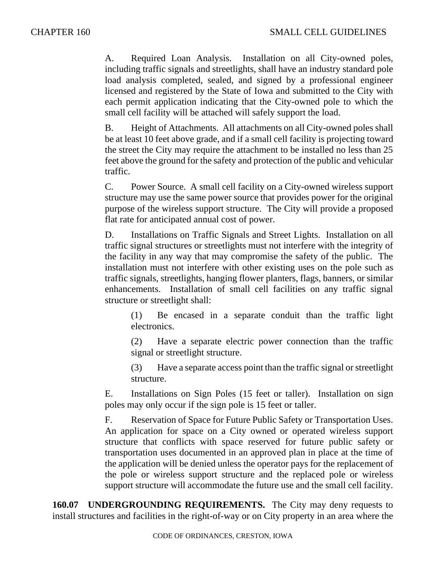A. Required Loan Analysis. Installation on all City-owned poles, including traffic signals and streetlights, shall have an industry standard pole load analysis completed, sealed, and signed by a professional engineer licensed and registered by the State of Iowa and submitted to the City with each permit application indicating that the City-owned pole to which the small cell facility will be attached will safely support the load.

B. Height of Attachments. All attachments on all City-owned poles shall be at least 10 feet above grade, and if a small cell facility is projecting toward the street the City may require the attachment to be installed no less than 25 feet above the ground for the safety and protection of the public and vehicular traffic.

C. Power Source. A small cell facility on a City-owned wireless support structure may use the same power source that provides power for the original purpose of the wireless support structure. The City will provide a proposed flat rate for anticipated annual cost of power.

D. Installations on Traffic Signals and Street Lights. Installation on all traffic signal structures or streetlights must not interfere with the integrity of the facility in any way that may compromise the safety of the public. The installation must not interfere with other existing uses on the pole such as traffic signals, streetlights, hanging flower planters, flags, banners, or similar enhancements. Installation of small cell facilities on any traffic signal structure or streetlight shall:

(1) Be encased in a separate conduit than the traffic light electronics.

(2) Have a separate electric power connection than the traffic signal or streetlight structure.

(3) Have a separate access point than the traffic signal or streetlight structure.

E. Installations on Sign Poles (15 feet or taller). Installation on sign poles may only occur if the sign pole is 15 feet or taller.

F. Reservation of Space for Future Public Safety or Transportation Uses. An application for space on a City owned or operated wireless support structure that conflicts with space reserved for future public safety or transportation uses documented in an approved plan in place at the time of the application will be denied unless the operator pays for the replacement of the pole or wireless support structure and the replaced pole or wireless support structure will accommodate the future use and the small cell facility.

**160.07 UNDERGROUNDING REQUIREMENTS.** The City may deny requests to install structures and facilities in the right-of-way or on City property in an area where the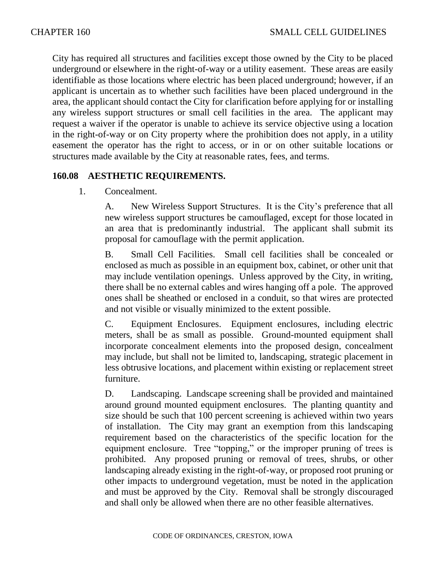City has required all structures and facilities except those owned by the City to be placed underground or elsewhere in the right-of-way or a utility easement. These areas are easily identifiable as those locations where electric has been placed underground; however, if an applicant is uncertain as to whether such facilities have been placed underground in the area, the applicant should contact the City for clarification before applying for or installing any wireless support structures or small cell facilities in the area. The applicant may request a waiver if the operator is unable to achieve its service objective using a location in the right-of-way or on City property where the prohibition does not apply, in a utility easement the operator has the right to access, or in or on other suitable locations or structures made available by the City at reasonable rates, fees, and terms.

## **160.08 AESTHETIC REQUIREMENTS.**

### 1. Concealment.

A. New Wireless Support Structures. It is the City's preference that all new wireless support structures be camouflaged, except for those located in an area that is predominantly industrial. The applicant shall submit its proposal for camouflage with the permit application.

B. Small Cell Facilities. Small cell facilities shall be concealed or enclosed as much as possible in an equipment box, cabinet, or other unit that may include ventilation openings. Unless approved by the City, in writing, there shall be no external cables and wires hanging off a pole. The approved ones shall be sheathed or enclosed in a conduit, so that wires are protected and not visible or visually minimized to the extent possible.

C. Equipment Enclosures. Equipment enclosures, including electric meters, shall be as small as possible. Ground-mounted equipment shall incorporate concealment elements into the proposed design, concealment may include, but shall not be limited to, landscaping, strategic placement in less obtrusive locations, and placement within existing or replacement street furniture.

D. Landscaping. Landscape screening shall be provided and maintained around ground mounted equipment enclosures. The planting quantity and size should be such that 100 percent screening is achieved within two years of installation. The City may grant an exemption from this landscaping requirement based on the characteristics of the specific location for the equipment enclosure. Tree "topping," or the improper pruning of trees is prohibited. Any proposed pruning or removal of trees, shrubs, or other landscaping already existing in the right-of-way, or proposed root pruning or other impacts to underground vegetation, must be noted in the application and must be approved by the City. Removal shall be strongly discouraged and shall only be allowed when there are no other feasible alternatives.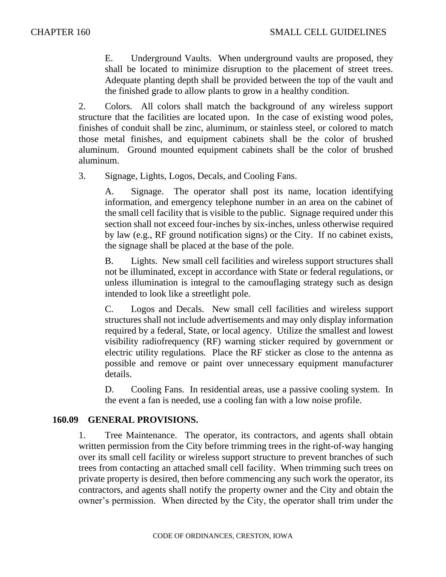E. Underground Vaults. When underground vaults are proposed, they shall be located to minimize disruption to the placement of street trees. Adequate planting depth shall be provided between the top of the vault and the finished grade to allow plants to grow in a healthy condition.

2. Colors. All colors shall match the background of any wireless support structure that the facilities are located upon. In the case of existing wood poles, finishes of conduit shall be zinc, aluminum, or stainless steel, or colored to match those metal finishes, and equipment cabinets shall be the color of brushed aluminum. Ground mounted equipment cabinets shall be the color of brushed aluminum.

3. Signage, Lights, Logos, Decals, and Cooling Fans.

A. Signage. The operator shall post its name, location identifying information, and emergency telephone number in an area on the cabinet of the small cell facility that is visible to the public. Signage required under this section shall not exceed four-inches by six-inches, unless otherwise required by law (e.g., RF ground notification signs) or the City. If no cabinet exists, the signage shall be placed at the base of the pole.

B. Lights. New small cell facilities and wireless support structures shall not be illuminated, except in accordance with State or federal regulations, or unless illumination is integral to the camouflaging strategy such as design intended to look like a streetlight pole.

C. Logos and Decals. New small cell facilities and wireless support structures shall not include advertisements and may only display information required by a federal, State, or local agency. Utilize the smallest and lowest visibility radiofrequency (RF) warning sticker required by government or electric utility regulations. Place the RF sticker as close to the antenna as possible and remove or paint over unnecessary equipment manufacturer details.

D. Cooling Fans. In residential areas, use a passive cooling system. In the event a fan is needed, use a cooling fan with a low noise profile.

### **160.09 GENERAL PROVISIONS.**

1. Tree Maintenance. The operator, its contractors, and agents shall obtain written permission from the City before trimming trees in the right-of-way hanging over its small cell facility or wireless support structure to prevent branches of such trees from contacting an attached small cell facility. When trimming such trees on private property is desired, then before commencing any such work the operator, its contractors, and agents shall notify the property owner and the City and obtain the owner's permission. When directed by the City, the operator shall trim under the